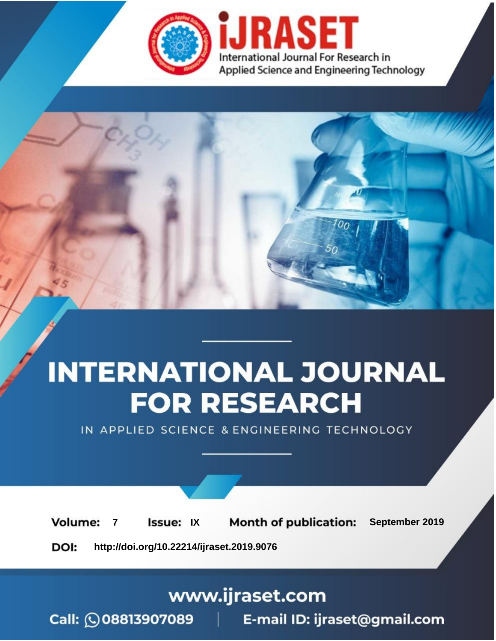

# **INTERNATIONAL JOURNAL FOR RESEARCH**

IN APPLIED SCIENCE & ENGINEERING TECHNOLOGY

**Month of publication: Volume: Issue: IX** September 2019  $\overline{7}$ DOI: http://doi.org/10.22214/ijraset.2019.9076

www.ijraset.com

 $Call: \bigcirc$ 08813907089 E-mail ID: ijraset@gmail.com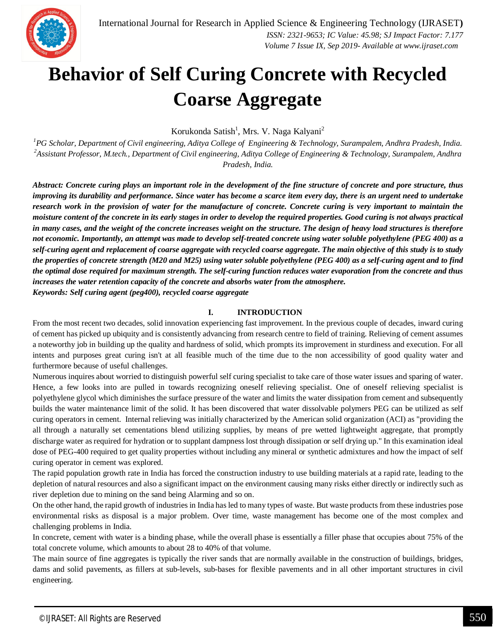

## **Behavior of Self Curing Concrete with Recycled Coarse Aggregate**

Korukonda Satish<sup>1</sup>, Mrs. V. Naga Kalyani<sup>2</sup>

*<sup>1</sup>PG Scholar, Department of Civil engineering, Aditya College of Engineering & Technology, Surampalem, Andhra Pradesh, India. <sup>2</sup>Assistant Professor, M.tech., Department of Civil engineering, Aditya College of Engineering & Technology, Surampalem, Andhra Pradesh, India.*

*Abstract: Concrete curing plays an important role in the development of the fine structure of concrete and pore structure, thus improving its durability and performance. Since water has become a scarce item every day, there is an urgent need to undertake research work in the provision of water for the manufacture of concrete. Concrete curing is very important to maintain the moisture content of the concrete in its early stages in order to develop the required properties. Good curing is not always practical in many cases, and the weight of the concrete increases weight on the structure. The design of heavy load structures is therefore not economic. Importantly, an attempt was made to develop self-treated concrete using water soluble polyethylene (PEG 400) as a self-curing agent and replacement of coarse aggregate with recycled coarse aggregate. The main objective of this study is to study the properties of concrete strength (M20 and M25) using water soluble polyethylene (PEG 400) as a self-curing agent and to find the optimal dose required for maximum strength. The self-curing function reduces water evaporation from the concrete and thus increases the water retention capacity of the concrete and absorbs water from the atmosphere. Keywords: Self curing agent (peg400), recycled coarse aggregate*

**I. INTRODUCTION**

From the most recent two decades, solid innovation experiencing fast improvement. In the previous couple of decades, inward curing of cement has picked up ubiquity and is consistently advancing from research centre to field of training. Relieving of cement assumes a noteworthy job in building up the quality and hardness of solid, which prompts its improvement in sturdiness and execution. For all intents and purposes great curing isn't at all feasible much of the time due to the non accessibility of good quality water and furthermore because of useful challenges.

Numerous inquires about worried to distinguish powerful self curing specialist to take care of those water issues and sparing of water. Hence, a few looks into are pulled in towards recognizing oneself relieving specialist. One of oneself relieving specialist is polyethylene glycol which diminishes the surface pressure of the water and limits the water dissipation from cement and subsequently builds the water maintenance limit of the solid. It has been discovered that water dissolvable polymers PEG can be utilized as self curing operators in cement. Internal relieving was initially characterized by the American solid organization (ACI) as "providing the all through a naturally set cementations blend utilizing supplies, by means of pre wetted lightweight aggregate, that promptly discharge water as required for hydration or to supplant dampness lost through dissipation or self drying up." In this examination ideal dose of PEG-400 required to get quality properties without including any mineral or synthetic admixtures and how the impact of self curing operator in cement was explored.

The rapid population growth rate in India has forced the construction industry to use building materials at a rapid rate, leading to the depletion of natural resources and also a significant impact on the environment causing many risks either directly or indirectly such as river depletion due to mining on the sand being Alarming and so on.

On the other hand, the rapid growth of industries in India has led to many types of waste. But waste products from these industries pose environmental risks as disposal is a major problem. Over time, waste management has become one of the most complex and challenging problems in India.

In concrete, cement with water is a binding phase, while the overall phase is essentially a filler phase that occupies about 75% of the total concrete volume, which amounts to about 28 to 40% of that volume.

The main source of fine aggregates is typically the river sands that are normally available in the construction of buildings, bridges, dams and solid pavements, as fillers at sub-levels, sub-bases for flexible pavements and in all other important structures in civil engineering.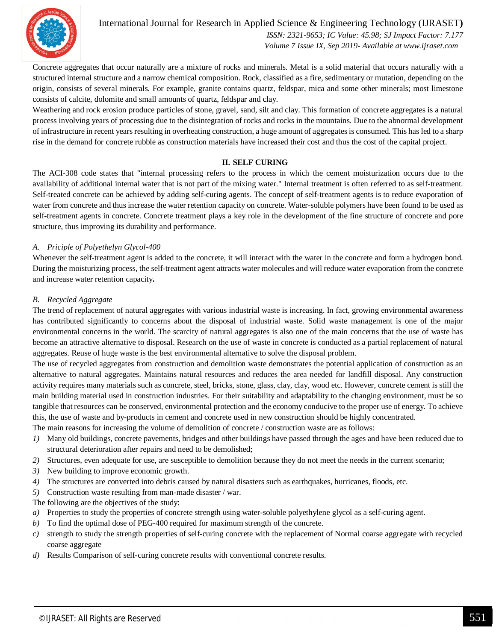

 *ISSN: 2321-9653; IC Value: 45.98; SJ Impact Factor: 7.177 Volume 7 Issue IX, Sep 2019- Available at www.ijraset.com*

Concrete aggregates that occur naturally are a mixture of rocks and minerals. Metal is a solid material that occurs naturally with a structured internal structure and a narrow chemical composition. Rock, classified as a fire, sedimentary or mutation, depending on the origin, consists of several minerals. For example, granite contains quartz, feldspar, mica and some other minerals; most limestone consists of calcite, dolomite and small amounts of quartz, feldspar and clay.

Weathering and rock erosion produce particles of stone, gravel, sand, silt and clay. This formation of concrete aggregates is a natural process involving years of processing due to the disintegration of rocks and rocks in the mountains. Due to the abnormal development of infrastructure in recent years resulting in overheating construction, a huge amount of aggregates is consumed. This has led to a sharp rise in the demand for concrete rubble as construction materials have increased their cost and thus the cost of the capital project.

## **II. SELF CURING**

The ACI-308 code states that "internal processing refers to the process in which the cement moisturization occurs due to the availability of additional internal water that is not part of the mixing water." Internal treatment is often referred to as self-treatment. Self-treated concrete can be achieved by adding self-curing agents. The concept of self-treatment agents is to reduce evaporation of water from concrete and thus increase the water retention capacity on concrete. Water-soluble polymers have been found to be used as self-treatment agents in concrete. Concrete treatment plays a key role in the development of the fine structure of concrete and pore structure, thus improving its durability and performance.

## *A. Priciple of Polyethelyn Glycol-400*

Whenever the self-treatment agent is added to the concrete, it will interact with the water in the concrete and form a hydrogen bond. During the moisturizing process, the self-treatment agent attracts water molecules and will reduce water evaporation from the concrete and increase water retention capacity**.**

## *B. Recycled Aggregate*

The trend of replacement of natural aggregates with various industrial waste is increasing. In fact, growing environmental awareness has contributed significantly to concerns about the disposal of industrial waste. Solid waste management is one of the major environmental concerns in the world. The scarcity of natural aggregates is also one of the main concerns that the use of waste has become an attractive alternative to disposal. Research on the use of waste in concrete is conducted as a partial replacement of natural aggregates. Reuse of huge waste is the best environmental alternative to solve the disposal problem.

The use of recycled aggregates from construction and demolition waste demonstrates the potential application of construction as an alternative to natural aggregates. Maintains natural resources and reduces the area needed for landfill disposal. Any construction activity requires many materials such as concrete, steel, bricks, stone, glass, clay, clay, wood etc. However, concrete cement is still the main building material used in construction industries. For their suitability and adaptability to the changing environment, must be so tangible that resources can be conserved, environmental protection and the economy conducive to the proper use of energy. To achieve this, the use of waste and by-products in cement and concrete used in new construction should be highly concentrated.

The main reasons for increasing the volume of demolition of concrete / construction waste are as follows:

- *1)* Many old buildings, concrete pavements, bridges and other buildings have passed through the ages and have been reduced due to structural deterioration after repairs and need to be demolished;
- *2)* Structures, even adequate for use, are susceptible to demolition because they do not meet the needs in the current scenario;
- *3)* New building to improve economic growth.
- *4)* The structures are converted into debris caused by natural disasters such as earthquakes, hurricanes, floods, etc.
- *5)* Construction waste resulting from man-made disaster / war.
- The following are the objectives of the study:
- *a)* Properties to study the properties of concrete strength using water-soluble polyethylene glycol as a self-curing agent.
- *b)* To find the optimal dose of PEG-400 required for maximum strength of the concrete.
- *c)* strength to study the strength properties of self-curing concrete with the replacement of Normal coarse aggregate with recycled coarse aggregate
- *d)* Results Comparison of self-curing concrete results with conventional concrete results.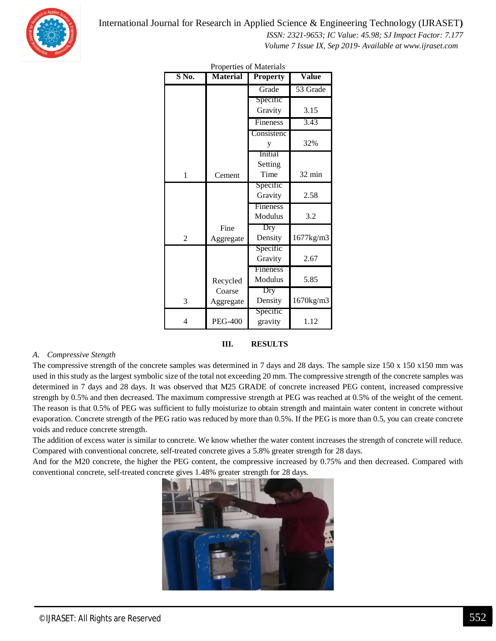

 *ISSN: 2321-9653; IC Value: 45.98; SJ Impact Factor: 7.177*

 *Volume 7 Issue IX, Sep 2019- Available at www.ijraset.com*

| $S$ No.        | <b>Material</b> | <b>Property</b> | <b>Value</b> |  |
|----------------|-----------------|-----------------|--------------|--|
|                |                 | Grade           | 53 Grade     |  |
|                |                 | Specific        |              |  |
|                |                 | Gravity         | 3.15         |  |
|                |                 | Fineness        | 3.43         |  |
|                |                 | Consistenc      |              |  |
|                |                 | y               | 32%          |  |
|                |                 | Initial         |              |  |
|                |                 | Setting         |              |  |
| 1              | Cement          | Time            | 32 min       |  |
|                |                 | Specific        |              |  |
|                |                 | Gravity         | 2.58         |  |
|                |                 | Fineness        |              |  |
|                |                 | Modulus         | 3.2          |  |
|                | Fine            | Dry             |              |  |
| $\overline{c}$ | Aggregate       | Density         | 1677kg/m3    |  |
|                |                 | Specific        |              |  |
|                |                 | Gravity         | 2.67         |  |
|                |                 | Fineness        |              |  |
|                | Recycled        | Modulus         | 5.85         |  |
|                | Coarse          | Dry             |              |  |
| 3              | Aggregate       | Density         | 1670kg/m3    |  |
|                |                 | Specific        |              |  |
| $\overline{4}$ | <b>PEG-400</b>  | gravity         | 1.12         |  |

Properties of Materials

#### **III. RESULTS**

#### *A. Compressive Stength*

The compressive strength of the concrete samples was determined in 7 days and 28 days. The sample size 150 x 150 x150 mm was used in this study as the largest symbolic size of the total not exceeding 20 mm. The compressive strength of the concrete samples was determined in 7 days and 28 days. It was observed that M25 GRADE of concrete increased PEG content, increased compressive strength by 0.5% and then decreased. The maximum compressive strength at PEG was reached at 0.5% of the weight of the cement. The reason is that 0.5% of PEG was sufficient to fully moisturize to obtain strength and maintain water content in concrete without evaporation. Concrete strength of the PEG ratio was reduced by more than 0.5%. If the PEG is more than 0.5, you can create concrete voids and reduce concrete strength.

The addition of excess water is similar to concrete. We know whether the water content increases the strength of concrete will reduce. Compared with conventional concrete, self-treated concrete gives a 5.8% greater strength for 28 days.

And for the M20 concrete, the higher the PEG content, the compressive increased by 0.75% and then decreased. Compared with conventional concrete, self-treated concrete gives 1.48% greater strength for 28 days.

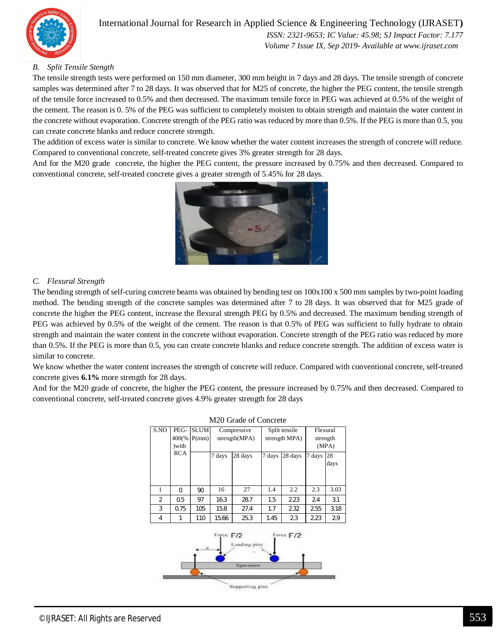

 *ISSN: 2321-9653; IC Value: 45.98; SJ Impact Factor: 7.177 Volume 7 Issue IX, Sep 2019- Available at www.ijraset.com*

## *B. Split Tensile Stength*

The tensile strength tests were performed on 150 mm diameter, 300 mm height in 7 days and 28 days. The tensile strength of concrete samples was determined after 7 to 28 days. It was observed that for M25 of concrete, the higher the PEG content, the tensile strength of the tensile force increased to 0.5% and then decreased. The maximum tensile force in PEG was achieved at 0.5% of the weight of the cement. The reason is 0. 5% of the PEG was sufficient to completely moisten to obtain strength and maintain the water content in the concrete without evaporation. Concrete strength of the PEG ratio was reduced by more than 0.5%. If the PEG is more than 0.5, you can create concrete blanks and reduce concrete strength.

The addition of excess water is similar to concrete. We know whether the water content increases the strength of concrete will reduce. Compared to conventional concrete, self-treated concrete gives 3% greater strength for 28 days.

And for the M20 grade concrete, the higher the PEG content, the pressure increased by 0.75% and then decreased. Compared to conventional concrete, self-treated concrete gives a greater strength of 5.45% for 28 days.



## *C. Flexural Strength*

The bending strength of self-curing concrete beams was obtained by bending test on 100x100 x 500 mm samples by two-point loading method. The bending strength of the concrete samples was determined after 7 to 28 days. It was observed that for M25 grade of concrete the higher the PEG content, increase the flexural strength PEG by 0.5% and decreased. The maximum bending strength of PEG was achieved by 0.5% of the weight of the cement. The reason is that 0.5% of PEG was sufficient to fully hydrate to obtain strength and maintain the water content in the concrete without evaporation. Concrete strength of the PEG ratio was reduced by more than 0.5%. If the PEG is more than 0.5, you can create concrete blanks and reduce concrete strength. The addition of excess water is similar to concrete.

We know whether the water content increases the strength of concrete will reduce. Compared with conventional concrete, self-treated concrete gives **6.1%** more strength for 28 days.

And for the M20 grade of concrete, the higher the PEG content, the pressure increased by 0.75% and then decreased. Compared to conventional concrete, self-treated concrete gives 4.9% greater strength for 28 days

| M <sub>20</sub> Grade of Concrete                                       |                         |                      |                              |         |                                |         |                               |            |
|-------------------------------------------------------------------------|-------------------------|----------------------|------------------------------|---------|--------------------------------|---------|-------------------------------|------------|
| S.NO                                                                    | PEG-<br>400(%<br>) with | <b>SLUM</b><br>P(mm) | Compressive<br>strength(MPA) |         | Split tensile<br>strength MPA) |         | Flexural<br>strength<br>(MPA) |            |
|                                                                         | <b>RCA</b>              |                      | 7 days                       | 28 days | 7 days                         | 28 days | 7 days                        | 28<br>days |
| 1                                                                       | $\Omega$                | 90                   | 16                           | 27      | 1.4                            | 2.2     | 2.3                           | 3.03       |
| $\overline{2}$                                                          | 0.5                     | 97                   | 16.3                         | 28.7    | 1.5                            | 2.23    | 2.4                           | 3.1        |
| 3                                                                       | 0.75                    | 105                  | 15.8                         | 27.4    | 1.7                            | 2.32    | 2.55                          | 3.18       |
| 4                                                                       | 1                       | 110                  | 15.66                        | 25.3    | 1.45                           | 2.3     | 2.23                          | 2.9        |
| Force F/2<br>Force $F/2$<br>Londing pins<br>Specimen<br>Supporting pans |                         |                      |                              |         |                                |         |                               |            |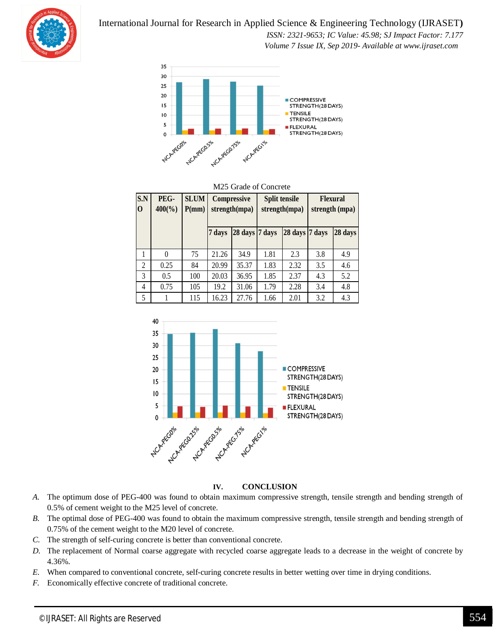*ISSN: 2321-9653; IC Value: 45.98; SJ Impact Factor: 7.177*

 *Volume 7 Issue IX, Sep 2019- Available at www.ijraset.com*



## M25 Grade of Concrete

| S.N<br>$\bf{0}$ | PEG-<br>$400\frac{6}{9}$ | <b>SLUM</b><br>P(mm) | Compressive<br>strength(mpa) |                | Split tensile<br>strength(mpa) |                | <b>Flexural</b><br>strength (mpa) |         |
|-----------------|--------------------------|----------------------|------------------------------|----------------|--------------------------------|----------------|-----------------------------------|---------|
|                 |                          |                      | 7 days                       | 28 days 7 days |                                | 28 days 7 days |                                   | 28 days |
|                 | $\Omega$                 | 75                   | 21.26                        | 34.9           | 1.81                           | 2.3            | 3.8                               | 4.9     |
| $\overline{c}$  | 0.25                     | 84                   | 20.99                        | 35.37          | 1.83                           | 2.32           | 3.5                               | 4.6     |
| 3               | 0.5                      | 100                  | 20.03                        | 36.95          | 1.85                           | 2.37           | 4.3                               | 5.2     |
| $\overline{4}$  | 0.75                     | 105                  | 19.2                         | 31.06          | 1.79                           | 2.28           | 3.4                               | 4.8     |
| 5               |                          | 115                  | 16.23                        | 27.76          | 1.66                           | 2.01           | 3.2                               | 4.3     |



#### **IV. CONCLUSION**

- *A.* The optimum dose of PEG-400 was found to obtain maximum compressive strength, tensile strength and bending strength of 0.5% of cement weight to the M25 level of concrete.
- *B.* The optimal dose of PEG-400 was found to obtain the maximum compressive strength, tensile strength and bending strength of 0.75% of the cement weight to the M20 level of concrete.
- *C.* The strength of self-curing concrete is better than conventional concrete.
- *D.* The replacement of Normal coarse aggregate with recycled coarse aggregate leads to a decrease in the weight of concrete by 4.36%.
- *E.* When compared to conventional concrete, self-curing concrete results in better wetting over time in drying conditions.
- *F.* Economically effective concrete of traditional concrete.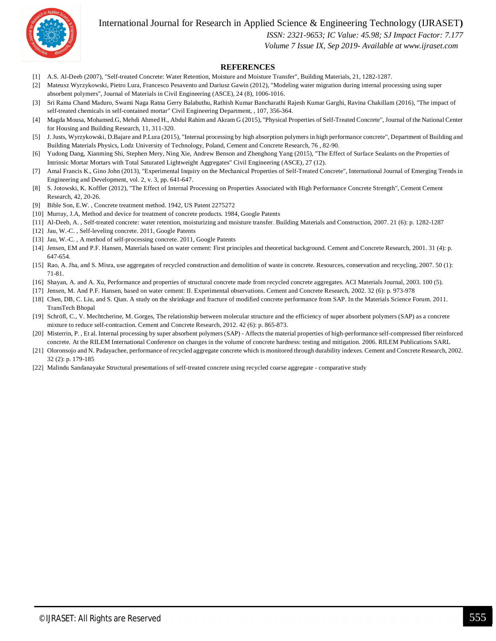

 *ISSN: 2321-9653; IC Value: 45.98; SJ Impact Factor: 7.177*

 *Volume 7 Issue IX, Sep 2019- Available at www.ijraset.com*

#### **REFERENCES**

- [1] A.S. Al-Deeb (2007), "Self-treated Concrete: Water Retention, Moisture and Moisture Transfer", Building Materials, 21, 1282-1287.
- [2] Mateusz Wyrzykowski, Pietro Lura, Francesco Pesavento and Dariusz Gawin (2012), "Modeling water migration during internal processing using super absorbent polymers", Journal of Materials in Civil Engineering (ASCE), 24 (8), 1006-1016.
- [3] Sri Rama Chand Maduro, Swami Naga Ratna Gerry Balabuthu, Rathish Kumar Bancharathi Rajesh Kumar Garghi, Ravina Chakillam (2016), "The impact of self-treated chemicals in self-contained mortar" Civil Engineering Department, , 107, 356-364.
- [4] Magda Mousa, Mohamed.G, Mehdi Ahmed H., Abdul Rahim and Akram G (2015), "Physical Properties of Self-Treated Concrete", Journal of the National Center for Housing and Building Research, 11, 311-320.
- [5] J. Justs, Wyrzykowski, D.Bajare and P.Lura (2015), "Internal processing by high absorption polymers in high performance concrete", Department of Building and Building Materials Physics, Lodz University of Technology, Poland, Cement and Concrete Research, 76 , 82-90.
- [6] Yudong Dang, Xianming Shi, Stephen Mery, Ning Xie, Andrew Benson and Zhenghong Yang (2015), "The Effect of Surface Sealants on the Properties of Intrinsic Mortar Mortars with Total Saturated Lightweight Aggregates" Civil Engineering (ASCE), 27 (12).
- [7] Amal Francis K., Gino John (2013), "Experimental Inquiry on the Mechanical Properties of Self-Treated Concrete", International Journal of Emerging Trends in Engineering and Development, vol. 2, v. 3, pp. 641-647.
- [8] S. Jotowski, K. Koffler (2012), "The Effect of Internal Processing on Properties Associated with High Performance Concrete Strength", Cement Cement Research, 42, 20-26.
- [9] Bible Son, E.W. , Concrete treatment method. 1942, US Patent 2275272
- [10] Murray, J.A, Method and device for treatment of concrete products. 1984, Google Patents
- [11] Al-Deeb, A. , Self-treated concrete: water retention, moisturizing and moisture transfer. Building Materials and Construction, 2007. 21 (6): p. 1282-1287
- [12] Jau, W.-C. , Self-leveling concrete. 2011, Google Patents
- [13] Jau, W.-C., A method of self-processing concrete. 2011, Google Patents
- [14] Jensen, EM and P.F. Hansen, Materials based on water cement: First principles and theoretical background. Cement and Concrete Research, 2001. 31 (4): p. 647-654.
- [15] Rao, A. Jha, and S. Misra, use aggregates of recycled construction and demolition of waste in concrete. Resources, conservation and recycling, 2007. 50 (1): 71-81.
- [16] Shayan, A. and A. Xu, Performance and properties of structural concrete made from recycled concrete aggregates. ACI Materials Journal, 2003. 100 (5).
- [17] Jensen, M. And P.F. Hansen, based on water cement: II. Experimental observations. Cement and Concrete Research, 2002. 32 (6): p. 973-978
- [18] Chen, DB, C. Liu, and S. Qian. A study on the shrinkage and fracture of modified concrete performance from SAP. In the Materials Science Forum. 2011. TransTech Bhopal
- [19] Schröfl, C., V. Mechtcherine, M. Gorges, The relationship between molecular structure and the efficiency of super absorbent polymers (SAP) as a concrete mixture to reduce self-contraction. Cement and Concrete Research, 2012. 42 (6): p. 865-873.
- [20] Misterrin, P. , Et al. Internal processing by super absorbent polymers (SAP) Affects the material properties of high-performance self-compressed fiber reinforced concrete. At the RILEM International Conference on changes in the volume of concrete hardness: testing and mitigation. 2006. RILEM Publications SARL
- [21] Oloronsojo and N. Padayachee, performance of recycled aggregate concrete which is monitored through durability indexes. Cement and Concrete Research, 2002. 32 (2): p. 179-185
- [22] Malindu Sandanayake Structural presentations of self-treated concrete using recycled coarse aggregate comparative study